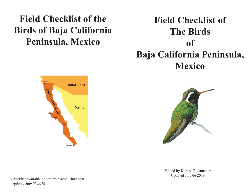# **Field Checklist of the Birds of Baja California Peninsula, Mexico**

# **Field Checklist of The Birds of Baja California Peninsula, Mexico**





Edited by Kurt A. Radamaker Updated July 06 2019

*Checklist available at http://mexicobirding.com Updated July 06 2019*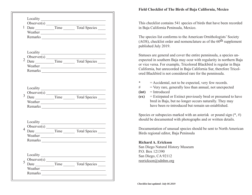|                | $\text{Observer}(s)$                            |                                         |                    |  |
|----------------|-------------------------------------------------|-----------------------------------------|--------------------|--|
| 3              |                                                 |                                         |                    |  |
| $\overline{4}$ | $\frac{\text{Observer(s)}}{\text{Observer(s)}}$ |                                         |                    |  |
| 5              | Locality<br>Observer(s)<br>Date<br>Weather      | <u> 1980 - Johann Barbara, martin a</u> | Time Total Species |  |

### **Field Checklist of The Birds of Baja California, Mexico**

This checklist contains 541 species of birds that have been recorded in Baja California Peninsula, Mexico.

The species list conforms to the American Ornithologists' Society (AOS), checklist order and nomenclature as of the  $60<sup>th</sup>$  supplement published July 2019.

Statuses are general and cover the entire penninsula, a species unexpected in southern Baja may ocur with regularity in northern Baja or vice versa. For example, Tricolored Blackbird is regular in Baja California, but unrecorded in Baja California Sur, therefore Tricolored Blackbird is not considered rare for the penninsula.

- **\***= Accidental, not to be expected, very few records.
- $#$  = Very rare, generally less than annual, not unexpected
- **(int)** = Introduced
- **(ex)** = Extirpated or Extinct previously bred or presumed to have bred in Baja, but no longer occurs naturally. They may have been re-introduced but remain un-established.

Species or subspecies marked with an asterisk or pound sign  $(*, \#)$ should be documented with photographs and or written details.

Documentation of unusual species should be sent to North American Birds regional editor, Baja Peninsula

#### **Richard A. Erickson**

San Diego Natural History Museum P.O. Box 121390San Diego, CA 92112 reerickson@sdnhm.org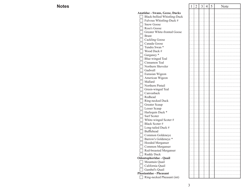### **Notes**

| S |                                 | 1 | $\mathbf{2}$ | $\overline{3}$ | $\overline{4}$ | 5 | Note |
|---|---------------------------------|---|--------------|----------------|----------------|---|------|
|   | Anatidae - Swans, Geese, Ducks  |   |              |                |                |   |      |
|   | Black-bellied Whistling-Duck    |   |              |                |                |   |      |
|   | Fulvous Whistling-Duck #        |   |              |                |                |   |      |
|   | <b>Snow Goose</b>               |   |              |                |                |   |      |
|   | Ross's Goose                    |   |              |                |                |   |      |
|   | Greater White-fronted Goose     |   |              |                |                |   |      |
|   | <b>Brant</b>                    |   |              |                |                |   |      |
|   | <b>Cackling Goose</b>           |   |              |                |                |   |      |
|   | Canada Goose                    |   |              |                |                |   |      |
|   | Tundra Swan *                   |   |              |                |                |   |      |
|   | Wood Duck #                     |   |              |                |                |   |      |
|   | Garganey <sup>*</sup>           |   |              |                |                |   |      |
|   | <b>Blue-winged Teal</b>         |   |              |                |                |   |      |
|   | Cinnamon Teal                   |   |              |                |                |   |      |
|   | Northern Shoveler               |   |              |                |                |   |      |
|   | Gadwall                         |   |              |                |                |   |      |
|   | Eurasian Wigeon                 |   |              |                |                |   |      |
|   | American Wigeon                 |   |              |                |                |   |      |
|   | Mallard                         |   |              |                |                |   |      |
|   | Northern Pintail                |   |              |                |                |   |      |
|   | Green-winged Teal               |   |              |                |                |   |      |
|   | Canvasback                      |   |              |                |                |   |      |
|   | Redhead                         |   |              |                |                |   |      |
|   | Ring-necked Duck                |   |              |                |                |   |      |
|   | Greater Scaup                   |   |              |                |                |   |      |
|   | Lesser Scaup                    |   |              |                |                |   |      |
|   | Harlequin Duck *                |   |              |                |                |   |      |
|   | Surf Scoter                     |   |              |                |                |   |      |
|   | White-winged Scoter#            |   |              |                |                |   |      |
|   | Black Scoter #                  |   |              |                |                |   |      |
|   | Long-tailed Duck #              |   |              |                |                |   |      |
|   | Bufflehead                      |   |              |                |                |   |      |
|   | Common Goldeneye                |   |              |                |                |   |      |
|   | Barrow's Goldeneye <sup>*</sup> |   |              |                |                |   |      |
|   | Hooded Merganser                |   |              |                |                |   |      |
|   | Common Merganser                |   |              |                |                |   |      |
|   | Red-breasted Merganser          |   |              |                |                |   |      |
|   | Ruddy Duck                      |   |              |                |                |   |      |
|   | Odontophoridae - Quail          |   |              |                |                |   |      |
|   | Mountain Quail                  |   |              |                |                |   |      |
|   | California Quail                |   |              |                |                |   |      |
|   | Gambel's Quail                  |   |              |                |                |   |      |
|   | <b>Phasianidae - Pheasant</b>   |   |              |                |                |   |      |
|   | Ring-necked Pheasant (int)      |   |              |                |                |   |      |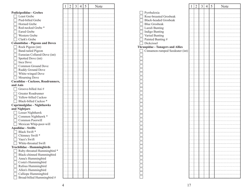|                                       | 1 | $\overline{2}$ | 3 | 4 | 5 | Note |
|---------------------------------------|---|----------------|---|---|---|------|
| <b>Podicipedidae - Grebes</b>         |   |                |   |   |   |      |
| Least Grebe                           |   |                |   |   |   |      |
| Pied-billed Grebe                     |   |                |   |   |   |      |
| Horned Grebe                          |   |                |   |   |   |      |
| Red-necked Grebe <sup>*</sup>         |   |                |   |   |   |      |
| <b>Eared Grebe</b>                    |   |                |   |   |   |      |
| Western Grebe                         |   |                |   |   |   |      |
| Clark's Grebe                         |   |                |   |   |   |      |
| <b>Columbidae - Pigeons and Doves</b> |   |                |   |   |   |      |
| Rock Pigeon (int)                     |   |                |   |   |   |      |
| <b>Band-tailed Pigeon</b>             |   |                |   |   |   |      |
|                                       |   |                |   |   |   |      |
| Eurasian Collared-Dove (int)          |   |                |   |   |   |      |
| Spotted Dove (int)<br>Inca Dove       |   |                |   |   |   |      |
|                                       |   |                |   |   |   |      |
| Common Ground Dove                    |   |                |   |   |   |      |
| Ruddy Ground Dove                     |   |                |   |   |   |      |
| White-winged Dove                     |   |                |   |   |   |      |
| Mourning Dove                         |   |                |   |   |   |      |
| Cuculidae - Cuckoos, Roadrunners,     |   |                |   |   |   |      |
| and Anis                              |   |                |   |   |   |      |
| Groove-billed Ani#                    |   |                |   |   |   |      |
| Greater Roadrunner                    |   |                |   |   |   |      |
| Yellow-billed Cuckoo                  |   |                |   |   |   |      |
| Black-billed Cuckoo*                  |   |                |   |   |   |      |
| Caprimulgidae - Nighthawks            |   |                |   |   |   |      |
| and Nightjars                         |   |                |   |   |   |      |
| Lesser Nighthawk                      |   |                |   |   |   |      |
| Common Nighthawk *                    |   |                |   |   |   |      |
| Common Poorwill                       |   |                |   |   |   |      |
| Mexican Whip-poor-will                |   |                |   |   |   |      |
| <b>Apodidae - Swifts</b>              |   |                |   |   |   |      |
| Black Swift*                          |   |                |   |   |   |      |
| Chimney Swift *                       |   |                |   |   |   |      |
| Vaux's Swift                          |   |                |   |   |   |      |
| White-throated Swift                  |   |                |   |   |   |      |
| Trochilidae - Hummingbirds            |   |                |   |   |   |      |
| Ruby-throated Hummingbird *           |   |                |   |   |   |      |
| Black-chinned Hummingbird             |   |                |   |   |   |      |
| Anna's Hummingbird                    |   |                |   |   |   |      |
| Costa's Hummingbird                   |   |                |   |   |   |      |
| Rufous Hummingbird                    |   |                |   |   |   |      |
| Allen's Hummingbird                   |   |                |   |   |   |      |
| Calliope Hummingbird                  |   |                |   |   |   |      |
| Broad-billed Hummingbird #            |   |                |   |   |   |      |
|                                       |   |                |   |   |   |      |

|                                         | 1 | 2 | 3 | 4 | 5 | Note |
|-----------------------------------------|---|---|---|---|---|------|
|                                         |   |   |   |   |   |      |
| Pyrrhuloxia                             |   |   |   |   |   |      |
| Rose-breasted Grosbeak                  |   |   |   |   |   |      |
| Black-headed Grosbeak                   |   |   |   |   |   |      |
| <b>Blue Grosbeak</b>                    |   |   |   |   |   |      |
| Lazuli Bunting                          |   |   |   |   |   |      |
| Indigo Bunting                          |   |   |   |   |   |      |
| Varied Bunting                          |   |   |   |   |   |      |
| Painted Bunting #                       |   |   |   |   |   |      |
| Dickcissel                              |   |   |   |   |   |      |
| <b>Thraupidae - Tanagers and Allies</b> |   |   |   |   |   |      |
| Cinnamon-rumped Seedeater (int)         |   |   |   |   |   |      |
|                                         |   |   |   |   |   |      |
|                                         |   |   |   |   |   |      |
|                                         |   |   |   |   |   |      |
|                                         |   |   |   |   |   |      |
|                                         |   |   |   |   |   |      |
|                                         |   |   |   |   |   |      |
|                                         |   |   |   |   |   |      |
|                                         |   |   |   |   |   |      |
|                                         |   |   |   |   |   |      |
|                                         |   |   |   |   |   |      |
|                                         |   |   |   |   |   |      |
|                                         |   |   |   |   |   |      |
|                                         |   |   |   |   |   |      |
|                                         |   |   |   |   |   |      |
|                                         |   |   |   |   |   |      |
|                                         |   |   |   |   |   |      |
|                                         |   |   |   |   |   |      |
|                                         |   |   |   |   |   |      |
|                                         |   |   |   |   |   |      |
|                                         |   |   |   |   |   |      |
|                                         |   |   |   |   |   |      |
|                                         |   |   |   |   |   |      |
|                                         |   |   |   |   |   |      |
|                                         |   |   |   |   |   |      |
|                                         |   |   |   |   |   |      |
|                                         |   |   |   |   |   |      |
|                                         |   |   |   |   |   |      |
|                                         |   |   |   |   |   |      |
|                                         |   |   |   |   |   |      |
|                                         |   |   |   |   |   |      |
|                                         |   |   |   |   |   |      |
|                                         |   |   |   |   |   |      |
|                                         |   |   |   |   |   |      |
|                                         |   |   |   |   |   |      |
|                                         |   |   |   |   |   |      |
|                                         |   |   |   |   |   |      |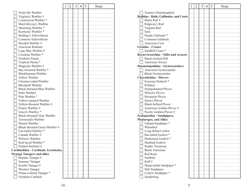|                                      | 1 | 2 | 3 | 4 | 5 | Note |
|--------------------------------------|---|---|---|---|---|------|
| Nashville Warbler                    |   |   |   |   |   |      |
| Virginia's Warbler #                 |   |   |   |   |   |      |
| Connecticut Warbler *                |   |   |   |   |   |      |
| MacGillivray's Warbler               |   |   |   |   |   |      |
| Mourning Warbler *                   |   |   |   |   |   |      |
| Kentucky Warbler *                   |   |   |   |   |   |      |
| Belding's Yellowthroat               |   |   |   |   |   |      |
| Common Yellowthroat                  |   |   |   |   |   |      |
| Hooded Warbler #                     |   |   |   |   |   |      |
| American Redstart                    |   |   |   |   |   |      |
| Cape May Warbler #                   |   |   |   |   |   |      |
| Cerulean Warbler *                   |   |   |   |   |   |      |
| Northern Parula                      |   |   |   |   |   |      |
| Tropical Parula *                    |   |   |   |   |   |      |
| Magnolia Warbler #                   |   |   |   |   |   |      |
| Bay-breasted Warbler *               |   |   |   |   |   |      |
| Blackburnian Warbler                 |   |   |   |   |   |      |
| Yellow Warbler                       |   |   |   |   |   |      |
| Chestnut-sided Warbler               |   |   |   |   |   |      |
| Blackpoll Warbler                    |   |   |   |   |   |      |
| Black-throated Blue Warbler          |   |   |   |   |   |      |
| Palm Warbler                         |   |   |   |   |   |      |
| Pine Warbler *                       |   |   |   |   |   |      |
| Yellow-rumped Warbler                |   |   |   |   |   |      |
| Yellow-throated Warbler #            |   |   |   |   |   |      |
| Prairie Warbler #                    |   |   |   |   |   |      |
| Grace's Warbler *                    |   |   |   |   |   |      |
| Black-throated Gray Warbler          |   |   |   |   |   |      |
| Townsend's Warbler                   |   |   |   |   |   |      |
| Hermit Warbler                       |   |   |   |   |   |      |
| Black-throated Green Warbler #       |   |   |   |   |   |      |
| Fan-tailed Warbler *                 |   |   |   |   |   |      |
| Canada Warbler #                     |   |   |   |   |   |      |
| Wilson's Warbler                     |   |   |   |   |   |      |
| Red-faced Warbler *                  |   |   |   |   |   |      |
| Painted Redstart #                   |   |   |   |   |   |      |
| Cardinalidae - Cardinals, Grosbeaks, |   |   |   |   |   |      |
| <b>Piranga Tanagers and allies</b>   |   |   |   |   |   |      |
| Hepatic Tanager#                     |   |   |   |   |   |      |
| <b>Summer Tanager</b>                |   |   |   |   |   |      |
| Scarlet Tanager#                     |   |   |   |   |   |      |
| Western Tanager                      |   |   |   |   |   |      |
| Flame-colored Tanager *              |   |   |   |   |   |      |
| Northern Cardinal                    |   |   |   |   |   |      |

|                                                                 | 1 | $\overline{2}$ | 3 | 4 | 5 | Note |
|-----------------------------------------------------------------|---|----------------|---|---|---|------|
|                                                                 |   |                |   |   |   |      |
| Xantus's Hummingbird<br>Rallidae - Rails, Gallinules, and Coots |   |                |   |   |   |      |
| Black Rail #                                                    |   |                |   |   |   |      |
|                                                                 |   |                |   |   |   |      |
| Ridgway's Rail                                                  |   |                |   |   |   |      |
| Virginia Rail                                                   |   |                |   |   |   |      |
| Sora                                                            |   |                |   |   |   |      |
| Purple Gallinule *                                              |   |                |   |   |   |      |
| Common Gallinule                                                |   |                |   |   |   |      |
| American Coot                                                   |   |                |   |   |   |      |
| <b>Gruidae - Cranes</b>                                         |   |                |   |   |   |      |
| Sandhill Crane*                                                 |   |                |   |   |   |      |
| <b>Recurvirostridae - Stilts and Avocets</b>                    |   |                |   |   |   |      |
| Black-necked Stilt                                              |   |                |   |   |   |      |
| American Avocet                                                 |   |                |   |   |   |      |
| Haematopodidae - Oystercatchers                                 |   |                |   |   |   |      |
| American Oystercatcher                                          |   |                |   |   |   |      |
| <b>Black Oystercatcher</b>                                      |   |                |   |   |   |      |
| <b>Charadriidae - Plovers</b>                                   |   |                |   |   |   |      |
| Eurasian Dotterel *                                             |   |                |   |   |   |      |
| Killdeer                                                        |   |                |   |   |   |      |
| Semipalmated Plover                                             |   |                |   |   |   |      |
| Wilson's Plover                                                 |   |                |   |   |   |      |
| Mountain Plover                                                 |   |                |   |   |   |      |
| Snowy Plover                                                    |   |                |   |   |   |      |
| <b>Black-bellied Plover</b>                                     |   |                |   |   |   |      |
| American Golden-Plover #                                        |   |                |   |   |   |      |
| Pacific Golden-Plover #                                         |   |                |   |   |   |      |
| Scolopacidae - Sandpipers,                                      |   |                |   |   |   |      |
| <b>Phalaropes, and Allies</b>                                   |   |                |   |   |   |      |
| Upland Sandpiper *                                              |   |                |   |   |   |      |
| Whimbrel                                                        |   |                |   |   |   |      |
| Long-billed Curlew                                              |   |                |   |   |   |      |
| Bar-tailed Godwit*                                              |   |                |   |   |   |      |
| Hudsonian Godwit*                                               |   |                |   |   |   |      |
| Marbled Godwit                                                  |   |                |   |   |   |      |
| Ruddy Turnstone                                                 |   |                |   |   |   |      |
| <b>Black Turnstone</b>                                          |   |                |   |   |   |      |
| Red Knot                                                        |   |                |   |   |   |      |
| Surfbird                                                        |   |                |   |   |   |      |
| Ruff#                                                           |   |                |   |   |   |      |
| Sharp-tailed Sandpiper *                                        |   |                |   |   |   |      |
| Stilt Sandpiper                                                 |   |                |   |   |   |      |
| Curlew Sandpiper *                                              |   |                |   |   |   |      |
| Sanderling                                                      |   |                |   |   |   |      |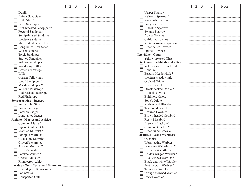|                                      | 1 | 2 | 3 | $\overline{4}$ | 5 | Note |
|--------------------------------------|---|---|---|----------------|---|------|
| Dunlin                               |   |   |   |                |   |      |
| Baird's Sandpiper                    |   |   |   |                |   |      |
| Little Stint*                        |   |   |   |                |   |      |
| Least Sandpiper                      |   |   |   |                |   |      |
| Buff-breasted Sandpiper *            |   |   |   |                |   |      |
| Pectoral Sandpiper                   |   |   |   |                |   |      |
| Semipalmated Sandpiper               |   |   |   |                |   |      |
| Western Sandpiper                    |   |   |   |                |   |      |
| Short-billed Dowitcher               |   |   |   |                |   |      |
| Long-billed Dowitcher                |   |   |   |                |   |      |
| Wilson's Snipe                       |   |   |   |                |   |      |
| Terek Sandpiper *                    |   |   |   |                |   |      |
| Spotted Sandpiper                    |   |   |   |                |   |      |
| Solitary Sandpiper                   |   |   |   |                |   |      |
| <b>Wandering Tattler</b>             |   |   |   |                |   |      |
| Lesser Yellowlegs                    |   |   |   |                |   |      |
| Willet                               |   |   |   |                |   |      |
| <b>Greater Yellowlegs</b>            |   |   |   |                |   |      |
| Wood Sandpiper *                     |   |   |   |                |   |      |
|                                      |   |   |   |                |   |      |
| Marsh Sandpiper *                    |   |   |   |                |   |      |
| Wilson's Phalarope                   |   |   |   |                |   |      |
| Red-necked Phalarope                 |   |   |   |                |   |      |
| Red Phalarope                        |   |   |   |                |   |      |
| <b>Stercorariidae - Jaegers</b>      |   |   |   |                |   |      |
| South Polar Skua                     |   |   |   |                |   |      |
| Pomarine Jaeger                      |   |   |   |                |   |      |
| Parasitic Jaeger                     |   |   |   |                |   |      |
| Long-tailed Jaeger                   |   |   |   |                |   |      |
| <b>Alcidae - Murres and Auklets</b>  |   |   |   |                |   |      |
| Common Murre #                       |   |   |   |                |   |      |
| Pigeon Guillemot#                    |   |   |   |                |   |      |
| Marbled Murrelet *                   |   |   |   |                |   |      |
| Scripps's Murrelet                   |   |   |   |                |   |      |
| Guadalupe Murrelet                   |   |   |   |                |   |      |
| Craveri's Murrelet                   |   |   |   |                |   |      |
| Ancient Murrelet *                   |   |   |   |                |   |      |
| Cassin's Auklet                      |   |   |   |                |   |      |
| Parakeet Auklet*                     |   |   |   |                |   |      |
| Crested Auklet *                     |   |   |   |                |   |      |
| Rhinoceros Auklet                    |   |   |   |                |   |      |
| Laridae - Gulls, Terns, and Skimmers |   |   |   |                |   |      |
| Black-legged Kittiwake #             |   |   |   |                |   |      |
| Sabine's Gull                        |   |   |   |                |   |      |
| <b>Bonaparte's Gull</b>              |   |   |   |                |   |      |

|                                          | 1 | 2 | 3 | 4 | 5 | Note |
|------------------------------------------|---|---|---|---|---|------|
| Vesper Sparrow                           |   |   |   |   |   |      |
| Nelson's Sparrow *                       |   |   |   |   |   |      |
| Savannah Sparrow                         |   |   |   |   |   |      |
| Song Sparrow                             |   |   |   |   |   |      |
| Lincoln's Sparrow                        |   |   |   |   |   |      |
| Swamp Sparrow                            |   |   |   |   |   |      |
| Abert's Towhee                           |   |   |   |   |   |      |
| California Towhee                        |   |   |   |   |   |      |
| Rufous-crowned Sparrow                   |   |   |   |   |   |      |
| Green-tailed Towhee                      |   |   |   |   |   |      |
| Spotted Towhee                           |   |   |   |   |   |      |
| Icteriidae - Chats                       |   |   |   |   |   |      |
| Yellow-breasted Chat                     |   |   |   |   |   |      |
| <b>Icteridae - Blackbirds and allies</b> |   |   |   |   |   |      |
| Yellow-headed Blackbird                  |   |   |   |   |   |      |
| <b>Bobolink</b>                          |   |   |   |   |   |      |
| Eastern Meadowlark *                     |   |   |   |   |   |      |
| Western Meadowlark                       |   |   |   |   |   |      |
| Orchard Oriole                           |   |   |   |   |   |      |
| Hooded Oriole                            |   |   |   |   |   |      |
| Streak-backed Oriole *                   |   |   |   |   |   |      |
| <b>Bullock's Oriole</b>                  |   |   |   |   |   |      |
| <b>Baltimore Oriole</b>                  |   |   |   |   |   |      |
| Scott's Oriole                           |   |   |   |   |   |      |
| Red-winged Blackbird                     |   |   |   |   |   |      |
| Tricolored Blackbird                     |   |   |   |   |   |      |
| <b>Bronzed Cowbird</b>                   |   |   |   |   |   |      |
| Brown-headed Cowbird                     |   |   |   |   |   |      |
| Rusty Blackbird *                        |   |   |   |   |   |      |
| Brewer's Blackbird                       |   |   |   |   |   |      |
| Common Grackle *                         |   |   |   |   |   |      |
| Great-tailed Grackle                     |   |   |   |   |   |      |
| Parulidae - Wood Warblers                |   |   |   |   |   |      |
| Ovenbird                                 |   |   |   |   |   |      |
| Worm-eating Warbler *                    |   |   |   |   |   |      |
| Louisiana Waterthrush *                  |   |   |   |   |   |      |
| Northern Waterthrush                     |   |   |   |   |   |      |
| Golden-winged Warbler *                  |   |   |   |   |   |      |
| Blue-winged Warbler *                    |   |   |   |   |   |      |
| Black-and-white Warbler                  |   |   |   |   |   |      |
| Prothonotary Warbler #                   |   |   |   |   |   |      |
| Tennessee Warbler                        |   |   |   |   |   |      |
| Orange-crowned Warbler                   |   |   |   |   |   |      |
| Lucy's Warbler                           |   |   |   |   |   |      |
|                                          |   |   |   |   |   |      |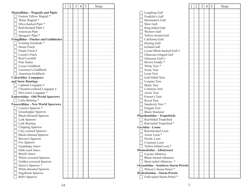|                                               | $\overline{2}$ | $\mathfrak{Z}$ | 4 | 5 | Note | $\mathbf{2}$<br>$\mathfrak{Z}$<br>5<br>$\overline{4}$<br>Note |
|-----------------------------------------------|----------------|----------------|---|---|------|---------------------------------------------------------------|
| <b>Motacillidae - Wagtails and Pipits</b>     |                |                |   |   |      | Laughing Gull                                                 |
| Eastern Yellow Wagtail *                      |                |                |   |   |      | Franklin's Gull                                               |
| White Wagtail *                               |                |                |   |   |      | Heermann's Gull                                               |
| Olive-backed Pipit *                          |                |                |   |   |      | Mew Gull                                                      |
| Red-throated Pipit #                          |                |                |   |   |      | Ring-billed Gull                                              |
| American Pipit                                |                |                |   |   |      | Western Gull                                                  |
| Sprague's Pipit *                             |                |                |   |   |      | Yellow-footed Gull                                            |
| <b>Fringillidae - Finches and Goldfinches</b> |                |                |   |   |      | California Gull                                               |
| Evening Grosbeak *                            |                |                |   |   |      | Herring Gull                                                  |
| House Finch                                   |                |                |   |   |      | Iceland Gull                                                  |
| Purple Finch#                                 |                |                |   |   |      | Lesser Black-backed Gull #                                    |
| Cassin's Finch                                |                |                |   |   |      | Glaucous-winged Gull                                          |
| Red Crossbill                                 |                |                |   |   |      | Glaucous Gull #                                               |
| Pine Siskin                                   |                |                |   |   |      | Brown Noddy*                                                  |
|                                               |                |                |   |   |      | White Tern <sup>*</sup>                                       |
| Lesser Goldfinch                              |                |                |   |   |      |                                                               |
| Lawrence's Goldfinch                          |                |                |   |   |      | Sooty Tern                                                    |
| American Goldfinch                            |                |                |   |   |      | Least Tern                                                    |
| Calcariidae -Longspurs                        |                |                |   |   |      | Gull-billed Tern                                              |
| and Snow Buntings                             |                |                |   |   |      | Caspian Tern                                                  |
| Lapland Longspur #                            |                |                |   |   |      | <b>Black Tern</b>                                             |
| Chestnut-collared Longspur #                  |                |                |   |   |      | Common Tern                                                   |
| McCown's Longspur *                           |                |                |   |   |      | Arctic Tern                                                   |
| <b>Emberizidae - Old World Sparrows</b>       |                |                |   |   |      | Forster's Tern                                                |
| Little Bunting *                              |                |                |   |   |      | Royal Tern                                                    |
| <b>Passerellidae - New World Sparrows</b>     |                |                |   |   |      | Sandwich Tern <sup>*</sup>                                    |
| Cassin's Sparrow *                            |                |                |   |   |      | Elegant Tern                                                  |
| Grasshopper Sparrow                           |                |                |   |   |      | <b>Black Skimmer</b>                                          |
| <b>Black-throated Sparrow</b>                 |                |                |   |   |      | <b>Phaethontidae - Tropicbirds</b>                            |
| Lark Sparrow                                  |                |                |   |   |      | Red-billed Tropicbird                                         |
| Lark Bunting                                  |                |                |   |   |      | Red-tailed Tropicbird*                                        |
| Chipping Sparrow                              |                |                |   |   |      | <b>Gaviidae - Loons</b>                                       |
| Clay-colored Sparrow                          |                |                |   |   |      | Red-throated Loon                                             |
| <b>Black-chinned Sparrow</b>                  |                |                |   |   |      | Arctic Loon <sup>*</sup>                                      |
| <b>Brewer's Sparrow</b>                       |                |                |   |   |      | Pacific Loon                                                  |
| Fox Sparrow                                   |                |                |   |   |      | Common Loon                                                   |
| Guadalupe Junco                               |                |                |   |   |      | Yellow-billed Loon <sup>*</sup>                               |
| Dark-eyed Junco                               |                |                |   |   |      | Diomedeidae - Albatrosses                                     |
| Baird's Junco                                 |                |                |   |   |      | Laysan Albatross                                              |
| White-crowned Sparrow                         |                |                |   |   |      | <b>Black-footed Albatross</b>                                 |
| Golden-crowned Sparrow                        |                |                |   |   |      | Short-tailed Albatross *                                      |
| Harris's Sparrow *                            |                |                |   |   |      | <b>Oceanitidae - Southern Storm-Petrels</b>                   |
| White-throated Sparrow                        |                |                |   |   |      | Wilson's Storm-Petrel *                                       |
| Sagebrush Sparrow                             |                |                |   |   |      | <b>Hydrobatidae - Storm-Petrels</b>                           |
| <b>Bell's Sparrow</b>                         |                |                |   |   |      | Fork-tailed Storm-Petrel *                                    |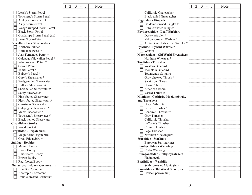|                                       | 1 | $\overline{2}$ | $\overline{3}$ | 4 | 5 |
|---------------------------------------|---|----------------|----------------|---|---|
| Leach's Storm-Petrel                  |   |                |                |   |   |
| Townsend's Storm-Petrel               |   |                |                |   |   |
| Ainley's Storm-Petrel                 |   |                |                |   |   |
| Ashy Storm-Petrel                     |   |                |                |   |   |
| Wedge-rumped Storm-Petrel             |   |                |                |   |   |
| <b>Black Storm-Petrel</b>             |   |                |                |   |   |
| Guadalupe Storm-Petrel (ex)           |   |                |                |   |   |
| Least Storm-Petrel                    |   |                |                |   |   |
| <b>Procellariidae - Shearwaters</b>   |   |                |                |   |   |
| Northern Fulmar                       |   |                |                |   |   |
| Kermadec Petrel *                     |   |                |                |   |   |
| Juan Fernandez Petrel *               |   |                |                |   |   |
| Galapagos/Hawaiian Petrel *           |   |                |                |   |   |
| White-necked Petrel *                 |   |                |                |   |   |
| Cook's Petrel                         |   |                |                |   |   |
| Tahiti Petrel *                       |   |                |                |   |   |
| Bulwer's Petrel *                     |   |                |                |   |   |
| Cory's Shearwater *                   |   |                |                |   |   |
| Wedge-tailed Shearwater               |   |                |                |   |   |
| Buller's Shearwater#                  |   |                |                |   |   |
| Short-tailed Shearwater #             |   |                |                |   |   |
| Sooty Shearwater                      |   |                |                |   |   |
| Pink-footed Shearwater                |   |                |                |   |   |
| Flesh-footed Shearwater #             |   |                |                |   |   |
| Christmas Shearwater                  |   |                |                |   |   |
| Galapagos Shearwater *                |   |                |                |   |   |
| Manx Shearwater *                     |   |                |                |   |   |
| Townsend's Shearwater #               |   |                |                |   |   |
| Black-vented Shearwater               |   |                |                |   |   |
| <b>Ciconiidae - Storks</b>            |   |                |                |   |   |
| Wood Stork #                          |   |                |                |   |   |
| <b>Fregatidae - Frigatebirds</b>      |   |                |                |   |   |
| Magnificent Frigatebird               |   |                |                |   |   |
| Great Frigatebird *                   |   |                |                |   |   |
| <b>Sulidae - Boobies</b>              |   |                |                |   |   |
| Masked Booby                          |   |                |                |   |   |
| Nazca Booby                           |   |                |                |   |   |
| <b>Blue-footed Booby</b>              |   |                |                |   |   |
| <b>Brown Booby</b>                    |   |                |                |   |   |
| Red-footed Booby                      |   |                |                |   |   |
| <b>Phalacrocoracidae - Cormorants</b> |   |                |                |   |   |
| <b>Brandt's Cormorant</b>             |   |                |                |   |   |
| Neotropic Cormorant                   |   |                |                |   |   |
| Double-crested Cormorant              |   |                |                |   |   |

Note

|                                             | 1 | 2 | 3 | 4 | 5 | Note |
|---------------------------------------------|---|---|---|---|---|------|
| California Gnatcatcher                      |   |   |   |   |   |      |
| <b>Black-tailed Gnatcatcher</b>             |   |   |   |   |   |      |
| <b>Regulidae - Kinglets</b>                 |   |   |   |   |   |      |
| Golden-crowned Kinglet #                    |   |   |   |   |   |      |
| Ruby-crowned Kinglet                        |   |   |   |   |   |      |
| <b>Phylloscopidae - Leaf Warblers</b>       |   |   |   |   |   |      |
| Dusky Warbler *                             |   |   |   |   |   |      |
| Yellow-browed Warbler *                     |   |   |   |   |   |      |
| Arctic/Kamchatka Leaf Warbler *             |   |   |   |   |   |      |
| <b>Sylviidae - Sylviid Warblers</b>         |   |   |   |   |   |      |
| Wrentit                                     |   |   |   |   |   |      |
| <b>Muscicapidae - Old World Flycatchers</b> |   |   |   |   |   |      |
| Northern Wheatear *                         |   |   |   |   |   |      |
| <b>Turdidae - Thrushes</b>                  |   |   |   |   |   |      |
| Western Bluebird                            |   |   |   |   |   |      |
| Mountain Bluebird                           |   |   |   |   |   |      |
| Townsend's Solitaire                        |   |   |   |   |   |      |
| Gray-cheeked Thrush *                       |   |   |   |   |   |      |
| Swainson's Thrush                           |   |   |   |   |   |      |
| Hermit Thrush                               |   |   |   |   |   |      |
| American Robin                              |   |   |   |   |   |      |
| Varied Thrush #                             |   |   |   |   |   |      |
| Mimidae - Catbirds, Mockingbirds,           |   |   |   |   |   |      |
| and Thrashers                               |   |   |   |   |   |      |
| Gray Catbird #                              |   |   |   |   |   |      |
| Brown Thrasher*                             |   |   |   |   |   |      |
| Bendire's Thrasher *                        |   |   |   |   |   |      |
| Gray Thrasher                               |   |   |   |   |   |      |
| California Thrasher                         |   |   |   |   |   |      |
| LeConte's Thrasher                          |   |   |   |   |   |      |
| Crissal Thrasher                            |   |   |   |   |   |      |
| Sage Thrasher                               |   |   |   |   |   |      |
| Northern Mockingbird                        |   |   |   |   |   |      |
| <b>Sturnidae - Starlings</b>                |   |   |   |   |   |      |
| European Starling (int)                     |   |   |   |   |   |      |
| <b>Bombycillidae - Waxwings</b>             |   |   |   |   |   |      |
| Cedar Waxwing                               |   |   |   |   |   |      |
| Ptiliogonatidae - Silky-flycatchers         |   |   |   |   |   |      |
| Phainopepla                                 |   |   |   |   |   |      |
| <b>Estrildidae - Waxbills</b>               |   |   |   |   |   |      |
| Scaly-breasted Munia (int)                  |   |   |   |   |   |      |
| Passeridae - Old World Sparrows             |   |   |   |   |   |      |
| House Sparrow (int)                         |   |   |   |   |   |      |
|                                             |   |   |   |   |   |      |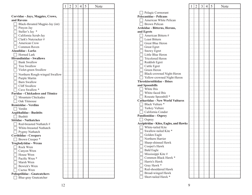|                                     | $\overline{2}$ | 3 | $\overline{4}$ | 5 | Note |                                                | $\perp$ | $\overline{2}$ | $\mathfrak{Z}$ | $\overline{4}$ | 5 | Note |
|-------------------------------------|----------------|---|----------------|---|------|------------------------------------------------|---------|----------------|----------------|----------------|---|------|
|                                     |                |   |                |   |      | Pelagic Cormorant                              |         |                |                |                |   |      |
| Corvidae - Jays, Magpies, Crows,    |                |   |                |   |      | <b>Pelecanidae - Pelicans</b>                  |         |                |                |                |   |      |
| and Ravens                          |                |   |                |   |      | American White Pelican                         |         |                |                |                |   |      |
| Black-throated Magpie-Jay (int)     |                |   |                |   |      | <b>Brown Pelican</b>                           |         |                |                |                |   |      |
| Pinyon Jay                          |                |   |                |   |      | Ardeidae - Bitterns, Herons,                   |         |                |                |                |   |      |
| Steller's Jay *                     |                |   |                |   |      | and Egrets                                     |         |                |                |                |   |      |
| California Scrub-Jay                |                |   |                |   |      | American Bittern #                             |         |                |                |                |   |      |
| Clark's Nutcracker #                |                |   |                |   |      | Least Bittern                                  |         |                |                |                |   |      |
| American Crow                       |                |   |                |   |      | Great Blue Heron                               |         |                |                |                |   |      |
| Common Raven                        |                |   |                |   |      | <b>Great Egret</b>                             |         |                |                |                |   |      |
| <b>Alaudidae - Larks</b>            |                |   |                |   |      |                                                |         |                |                |                |   |      |
|                                     |                |   |                |   |      | Snowy Egret<br>Little Blue Heron               |         |                |                |                |   |      |
| Horned Lark                         |                |   |                |   |      |                                                |         |                |                |                |   |      |
| <b>Hirundinidae - Swallows</b>      |                |   |                |   |      | Tricolored Heron                               |         |                |                |                |   |      |
| <b>Bank Swallow</b>                 |                |   |                |   |      | Reddish Egret                                  |         |                |                |                |   |      |
| <b>Tree Swallow</b>                 |                |   |                |   |      | Cattle Egret                                   |         |                |                |                |   |      |
| Violet-green Swallow                |                |   |                |   |      | Green Heron                                    |         |                |                |                |   |      |
| Northern Rough-winged Swallow       |                |   |                |   |      | Black-crowned Night-Heron                      |         |                |                |                |   |      |
| Purple Martin                       |                |   |                |   |      | Yellow-crowned Night-Heron                     |         |                |                |                |   |      |
| <b>Barn Swallow</b>                 |                |   |                |   |      | <b>Threskiornithidae - Ibises</b>              |         |                |                |                |   |      |
| Cliff Swallow                       |                |   |                |   |      | and Spoonbills                                 |         |                |                |                |   |      |
| Cave Swallow *                      |                |   |                |   |      | White Ibis<br>$\blacksquare$                   |         |                |                |                |   |      |
| Paridae - Chickadees and Titmice    |                |   |                |   |      | White-faced Ibis                               |         |                |                |                |   |      |
| Mountain Chickadee                  |                |   |                |   |      | Roseate Spoonbill *                            |         |                |                |                |   |      |
| Oak Titmouse                        |                |   |                |   |      | <b>Cathartidae - New World Vultures</b>        |         |                |                |                |   |      |
| <b>Remizidae - Verdins</b>          |                |   |                |   |      | Black Vulture *                                |         |                |                |                |   |      |
| $\Box$ Verdin                       |                |   |                |   |      | Turkey Vulture                                 |         |                |                |                |   |      |
| <b>Aegithalidae - Bushtits</b>      |                |   |                |   |      | California Condor                              |         |                |                |                |   |      |
| $\Box$ Bushtit                      |                |   |                |   |      | <b>Pandionidae - Osprey</b>                    |         |                |                |                |   |      |
| <b>Sittidae - Nuthatches</b>        |                |   |                |   |      | $\Box$ Osprey                                  |         |                |                |                |   |      |
| Red-breasted Nuthatch #             |                |   |                |   |      | <b>Accipitridae - Kites, Eagles, and Hawks</b> |         |                |                |                |   |      |
| White-breasted Nuthatch             |                |   |                |   |      | White-tailed Kite<br>$\blacksquare$            |         |                |                |                |   |      |
| Pygmy Nuthatch                      |                |   |                |   |      | Swallow-tailed Kite <sup>*</sup>               |         |                |                |                |   |      |
| <b>Certhiidae - Creepers</b>        |                |   |                |   |      | Golden Eagle                                   |         |                |                |                |   |      |
| Brown Creeper *                     |                |   |                |   |      | Northern Harrier                               |         |                |                |                |   |      |
| <b>Troglodytidae - Wrens</b>        |                |   |                |   |      | Sharp-shinned Hawk                             |         |                |                |                |   |      |
| Rock Wren                           |                |   |                |   |      | Cooper's Hawk                                  |         |                |                |                |   |      |
| Canyon Wren                         |                |   |                |   |      | <b>Bald Eagle</b>                              |         |                |                |                |   |      |
| House Wren                          |                |   |                |   |      | Mississippi Kite #                             |         |                |                |                |   |      |
| Pacific Wren *                      |                |   |                |   |      | Common Black Hawk *                            |         |                |                |                |   |      |
|                                     |                |   |                |   |      | Harris's Hawk                                  |         |                |                |                |   |      |
| Marsh Wren                          |                |   |                |   |      | Gray Hawk*                                     |         |                |                |                |   |      |
| Bewick's Wren                       |                |   |                |   |      | Red-shouldered Hawk                            |         |                |                |                |   |      |
| Cactus Wren                         |                |   |                |   |      | Broad-winged Hawk                              |         |                |                |                |   |      |
| <b>Polioptilidae - Gnatcatchers</b> |                |   |                |   |      | Short-tailed Hawk <sup>*</sup>                 |         |                |                |                |   |      |
| Blue-gray Gnatcatcher               |                |   |                |   |      |                                                |         |                |                |                |   |      |